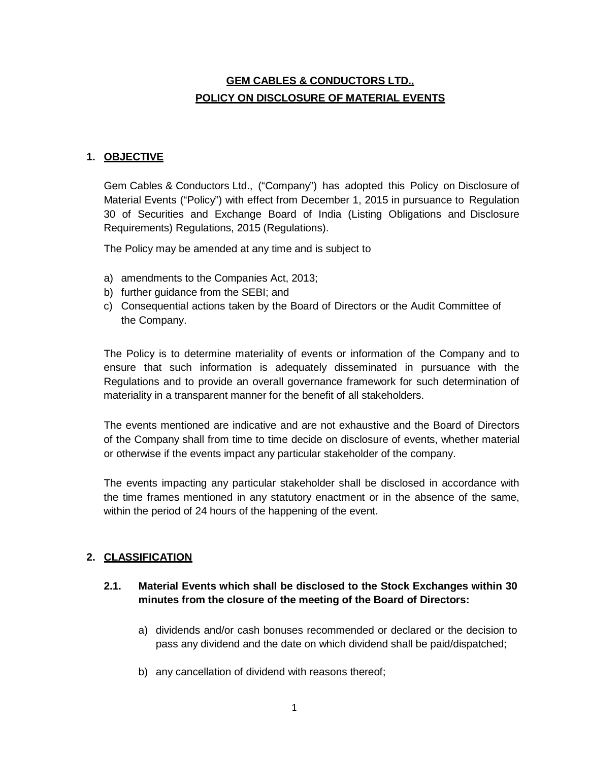# **GEM CABLES & CONDUCTORS LTD., POLICY ON DISCLOSURE OF MATERIAL EVENTS**

#### **1. OBJECTIVE**

Gem Cables & Conductors Ltd., ("Company") has adopted this Policy on Disclosure of Material Events ("Policy") with effect from December 1, 2015 in pursuance to Regulation 30 of Securities and Exchange Board of India (Listing Obligations and Disclosure Requirements) Regulations, 2015 (Regulations).

The Policy may be amended at any time and is subject to

- a) amendments to the Companies Act, 2013;
- b) further guidance from the SEBI; and
- c) Consequential actions taken by the Board of Directors or the Audit Committee of the Company.

The Policy is to determine materiality of events or information of the Company and to ensure that such information is adequately disseminated in pursuance with the Regulations and to provide an overall governance framework for such determination of materiality in a transparent manner for the benefit of all stakeholders.

The events mentioned are indicative and are not exhaustive and the Board of Directors of the Company shall from time to time decide on disclosure of events, whether material or otherwise if the events impact any particular stakeholder of the company.

The events impacting any particular stakeholder shall be disclosed in accordance with the time frames mentioned in any statutory enactment or in the absence of the same, within the period of 24 hours of the happening of the event.

#### **2. CLASSIFICATION**

#### **2.1. Material Events which shall be disclosed to the Stock Exchanges within 30 minutes from the closure of the meeting of the Board of Directors:**

- a) dividends and/or cash bonuses recommended or declared or the decision to pass any dividend and the date on which dividend shall be paid/dispatched;
- b) any cancellation of dividend with reasons thereof;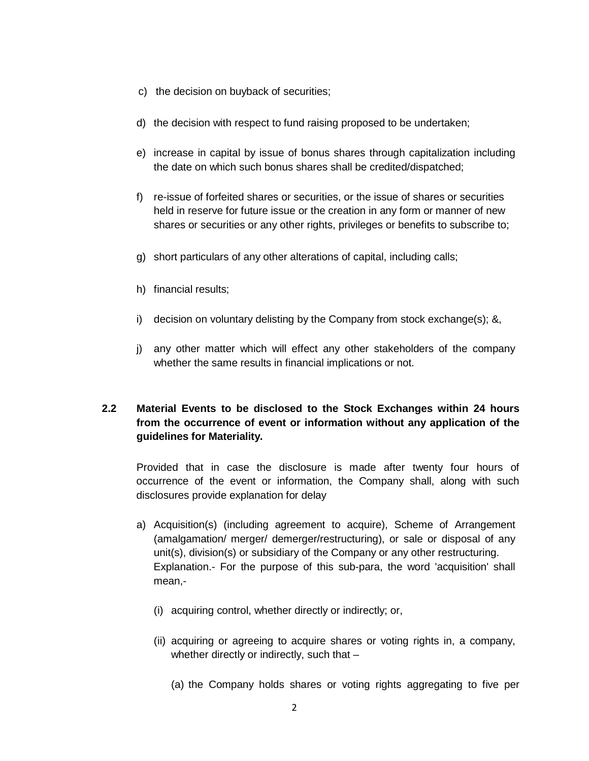- c) the decision on buyback of securities;
- d) the decision with respect to fund raising proposed to be undertaken;
- e) increase in capital by issue of bonus shares through capitalization including the date on which such bonus shares shall be credited/dispatched;
- f) re-issue of forfeited shares or securities, or the issue of shares or securities held in reserve for future issue or the creation in any form or manner of new shares or securities or any other rights, privileges or benefits to subscribe to;
- g) short particulars of any other alterations of capital, including calls;
- h) financial results;
- i) decision on voluntary delisting by the Company from stock exchange(s); &,
- j) any other matter which will effect any other stakeholders of the company whether the same results in financial implications or not.

# **2.2 Material Events to be disclosed to the Stock Exchanges within 24 hours from the occurrence of event or information without any application of the guidelines for Materiality.**

Provided that in case the disclosure is made after twenty four hours of occurrence of the event or information, the Company shall, along with such disclosures provide explanation for delay

- a) Acquisition(s) (including agreement to acquire), Scheme of Arrangement (amalgamation/ merger/ demerger/restructuring), or sale or disposal of any unit(s), division(s) or subsidiary of the Company or any other restructuring. Explanation.- For the purpose of this sub-para, the word 'acquisition' shall mean,-
	- (i) acquiring control, whether directly or indirectly; or,
	- (ii) acquiring or agreeing to acquire shares or voting rights in, a company, whether directly or indirectly, such that -
		- (a) the Company holds shares or voting rights aggregating to five per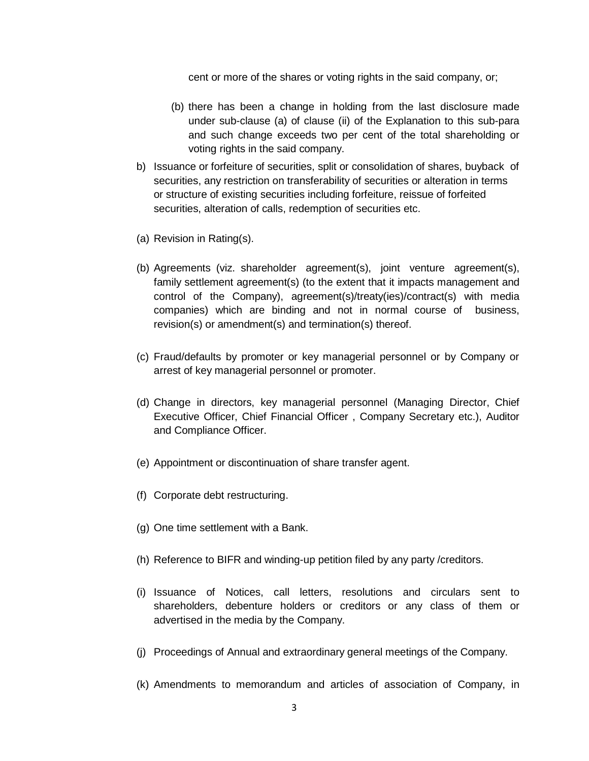cent or more of the shares or voting rights in the said company, or;

- (b) there has been a change in holding from the last disclosure made under sub-clause (a) of clause (ii) of the Explanation to this sub-para and such change exceeds two per cent of the total shareholding or voting rights in the said company.
- b) Issuance or forfeiture of securities, split or consolidation of shares, buyback of securities, any restriction on transferability of securities or alteration in terms or structure of existing securities including forfeiture, reissue of forfeited securities, alteration of calls, redemption of securities etc.
- (a) Revision in Rating(s).
- (b) Agreements (viz. shareholder agreement(s), joint venture agreement(s), family settlement agreement(s) (to the extent that it impacts management and control of the Company), agreement(s)/treaty(ies)/contract(s) with media companies) which are binding and not in normal course of business, revision(s) or amendment(s) and termination(s) thereof.
- (c) Fraud/defaults by promoter or key managerial personnel or by Company or arrest of key managerial personnel or promoter.
- (d) Change in directors, key managerial personnel (Managing Director, Chief Executive Officer, Chief Financial Officer , Company Secretary etc.), Auditor and Compliance Officer.
- (e) Appointment or discontinuation of share transfer agent.
- (f) Corporate debt restructuring.
- (g) One time settlement with a Bank.
- (h) Reference to BIFR and winding-up petition filed by any party /creditors.
- (i) Issuance of Notices, call letters, resolutions and circulars sent to shareholders, debenture holders or creditors or any class of them or advertised in the media by the Company.
- (j) Proceedings of Annual and extraordinary general meetings of the Company.
- (k) Amendments to memorandum and articles of association of Company, in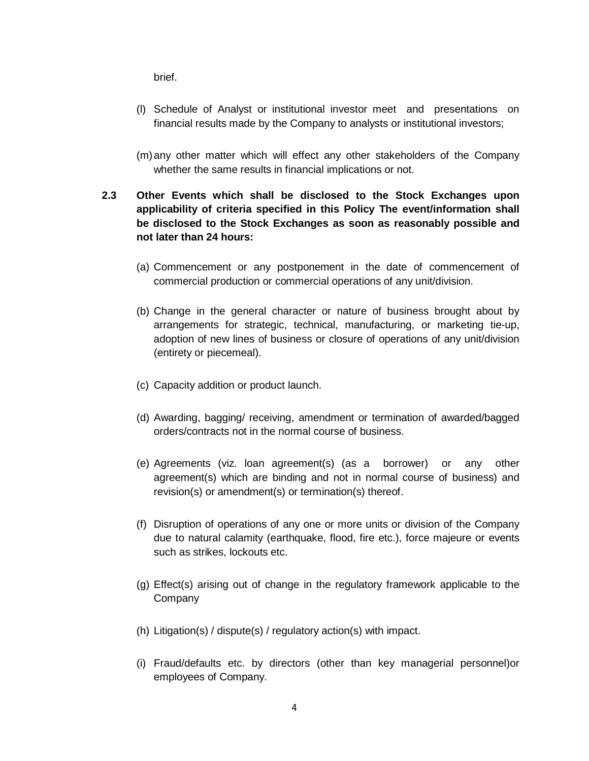brief.

- (l) Schedule of Analyst or institutional investor meet and presentations on financial results made by the Company to analysts or institutional investors;
- (m)any other matter which will effect any other stakeholders of the Company whether the same results in financial implications or not.
- **2.3 Other Events which shall be disclosed to the Stock Exchanges upon applicability of criteria specified in this Policy The event/information shall be disclosed to the Stock Exchanges as soon as reasonably possible and not later than 24 hours:**
	- (a) Commencement or any postponement in the date of commencement of commercial production or commercial operations of any unit/division.
	- (b) Change in the general character or nature of business brought about by arrangements for strategic, technical, manufacturing, or marketing tie-up, adoption of new lines of business or closure of operations of any unit/division (entirety or piecemeal).
	- (c) Capacity addition or product launch.
	- (d) Awarding, bagging/ receiving, amendment or termination of awarded/bagged orders/contracts not in the normal course of business.
	- (e) Agreements (viz. loan agreement(s) (as a borrower) or any other agreement(s) which are binding and not in normal course of business) and revision(s) or amendment(s) or termination(s) thereof.
	- (f) Disruption of operations of any one or more units or division of the Company due to natural calamity (earthquake, flood, fire etc.), force majeure or events such as strikes, lockouts etc.
	- (g) Effect(s) arising out of change in the regulatory framework applicable to the Company
	- (h) Litigation(s) / dispute(s) / regulatory action(s) with impact.
	- (i) Fraud/defaults etc. by directors (other than key managerial personnel)or employees of Company.